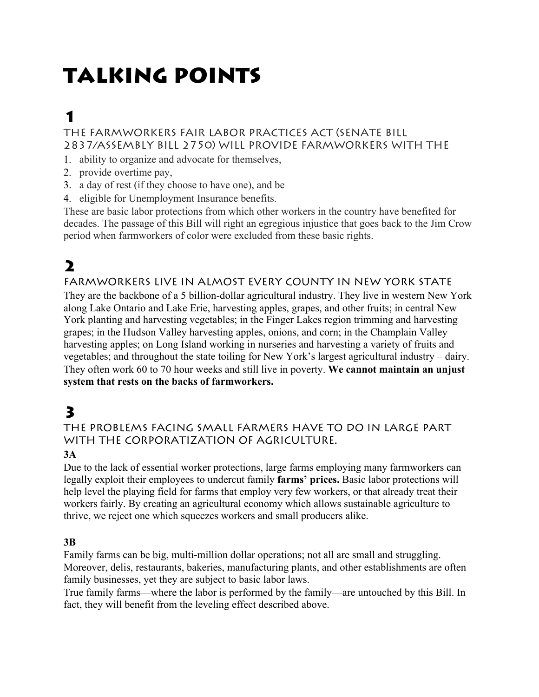# TALKING POINTS

# 1

#### THE FARMWORKERS FAIR LABOR PRACTICES ACT (SENATE BILL 2837/ASSEMBLY BILL 2750) WILL PROVIDE FARMWORKERS WITH THE

- 1. ability to organize and advocate for themselves,
- 2. provide overtime pay,
- 3. a day of rest (if they choose to have one), and be
- 4. eligible for Unemployment Insurance benefits.

These are basic labor protections from which other workers in the country have benefited for decades. The passage of this Bill will right an egregious injustice that goes back to the Jim Crow period when farmworkers of color were excluded from these basic rights.

# 2

#### FARMWORKERS LIVE IN ALMOST EVERY COUNTY IN NEW YORK STATE

They are the backbone of a 5 billion-dollar agricultural industry. They live in western New York along Lake Ontario and Lake Erie, harvesting apples, grapes, and other fruits; in central New York planting and harvesting vegetables; in the Finger Lakes region trimming and harvesting grapes; in the Hudson Valley harvesting apples, onions, and corn; in the Champlain Valley harvesting apples; on Long Island working in nurseries and harvesting a variety of fruits and vegetables; and throughout the state toiling for New York's largest agricultural industry – dairy. They often work 60 to 70 hour weeks and still live in poverty. **We cannot maintain an unjust system that rests on the backs of farmworkers.**

### 3

#### THE PROBLEMS FACING SMALL FARMERS HAVE TO DO IN LARGE PART WITH THE CORPORATIZATION OF AGRICULTURE.

#### **3A**

Due to the lack of essential worker protections, large farms employing many farmworkers can legally exploit their employees to undercut family **farms' prices.** Basic labor protections will help level the playing field for farms that employ very few workers, or that already treat their workers fairly. By creating an agricultural economy which allows sustainable agriculture to thrive, we reject one which squeezes workers and small producers alike.

#### **3B**

Family farms can be big, multi-million dollar operations; not all are small and struggling. Moreover, delis, restaurants, bakeries, manufacturing plants, and other establishments are often family businesses, yet they are subject to basic labor laws.

True family farms—where the labor is performed by the family—are untouched by this Bill. In fact, they will benefit from the leveling effect described above.